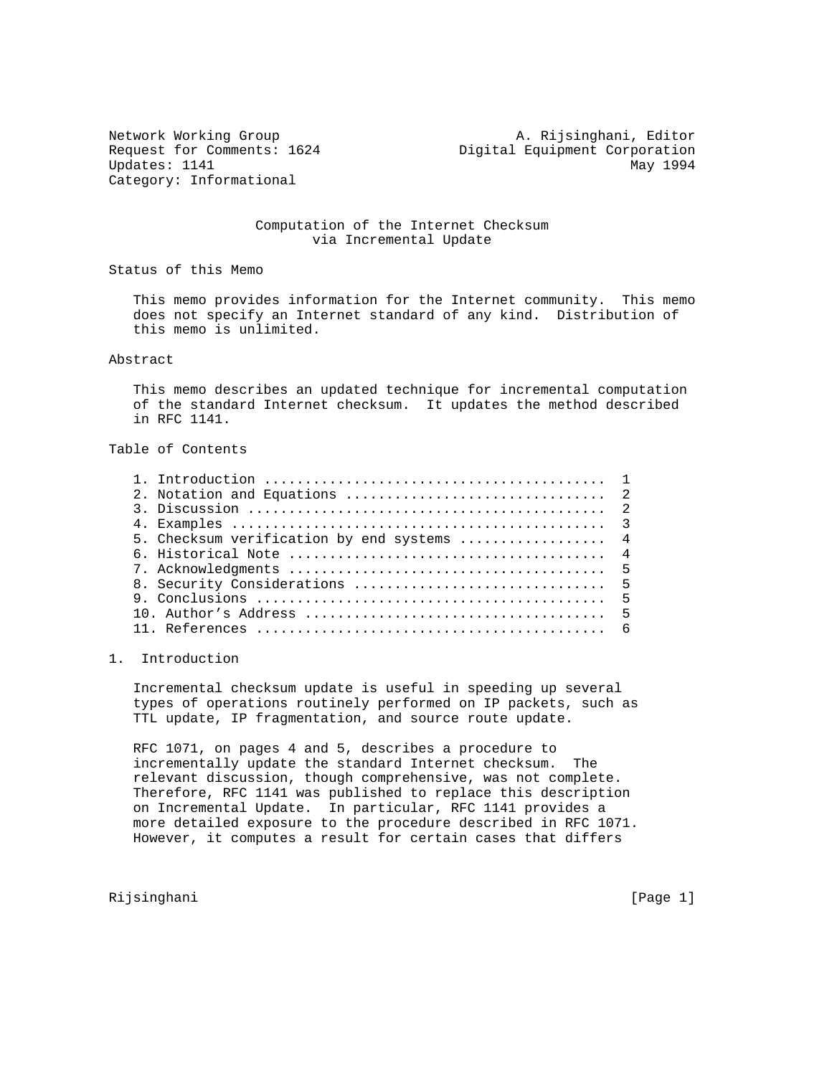Category: Informational

Network Working Group **A. Rijsinghani, Editor** Request for Comments: 1624 Digital Equipment Corporation Updates: 1141 May 1994

### Computation of the Internet Checksum via Incremental Update

Status of this Memo

 This memo provides information for the Internet community. This memo does not specify an Internet standard of any kind. Distribution of this memo is unlimited.

Abstract

 This memo describes an updated technique for incremental computation of the standard Internet checksum. It updates the method described in RFC 1141.

Table of Contents

| 5. Checksum verification by end systems  4 |  |
|--------------------------------------------|--|
|                                            |  |
|                                            |  |
|                                            |  |
|                                            |  |
|                                            |  |
|                                            |  |
|                                            |  |

### 1. Introduction

 Incremental checksum update is useful in speeding up several types of operations routinely performed on IP packets, such as TTL update, IP fragmentation, and source route update.

 RFC 1071, on pages 4 and 5, describes a procedure to incrementally update the standard Internet checksum. The relevant discussion, though comprehensive, was not complete. Therefore, RFC 1141 was published to replace this description on Incremental Update. In particular, RFC 1141 provides a more detailed exposure to the procedure described in RFC 1071. However, it computes a result for certain cases that differs

Rijsinghani [Page 1]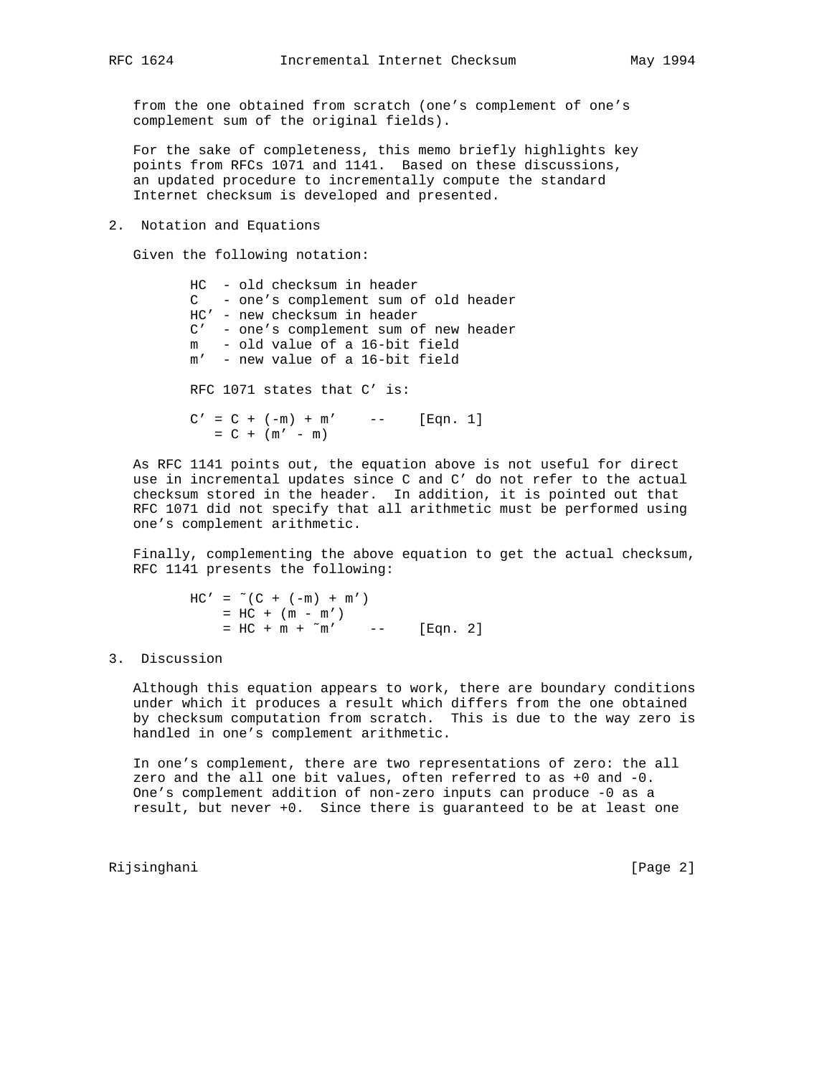from the one obtained from scratch (one's complement of one's complement sum of the original fields).

 For the sake of completeness, this memo briefly highlights key points from RFCs 1071 and 1141. Based on these discussions, an updated procedure to incrementally compute the standard Internet checksum is developed and presented.

2. Notation and Equations

Given the following notation:

 HC - old checksum in header C - one's complement sum of old header HC' - new checksum in header C' - one's complement sum of new header m - old value of a 16-bit field m' - new value of a 16-bit field RFC 1071 states that C' is:  $C' = C + (-m) + m'$  -- [Eqn. 1]  $= C + (m' - m)$ 

 As RFC 1141 points out, the equation above is not useful for direct use in incremental updates since C and C' do not refer to the actual checksum stored in the header. In addition, it is pointed out that RFC 1071 did not specify that all arithmetic must be performed using one's complement arithmetic.

 Finally, complementing the above equation to get the actual checksum, RFC 1141 presents the following:

> $HC' = " (C + (-m) + m')$  $=$  HC + (m - m')  $=$  HC + m +  $\sim$  m' -- [Eqn. 2]

### 3. Discussion

 Although this equation appears to work, there are boundary conditions under which it produces a result which differs from the one obtained by checksum computation from scratch. This is due to the way zero is handled in one's complement arithmetic.

 In one's complement, there are two representations of zero: the all zero and the all one bit values, often referred to as +0 and -0. One's complement addition of non-zero inputs can produce -0 as a result, but never +0. Since there is guaranteed to be at least one

Rijsinghani [Page 2]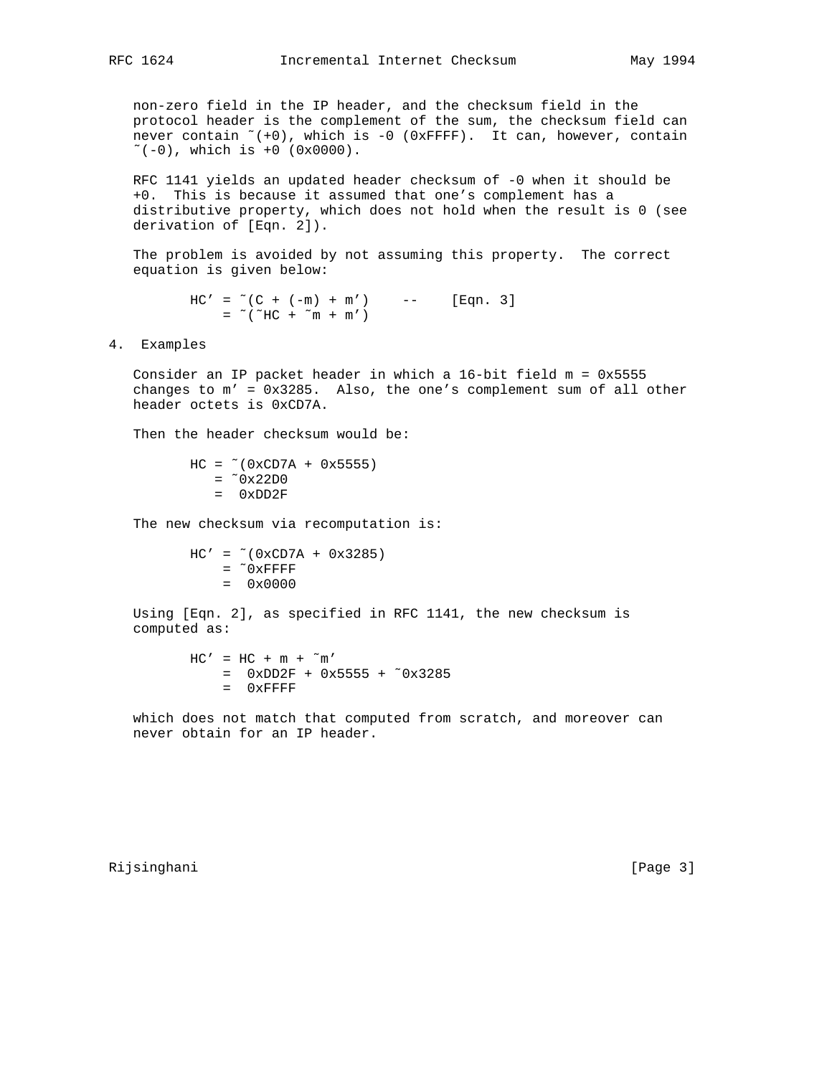non-zero field in the IP header, and the checksum field in the protocol header is the complement of the sum, the checksum field can never contain  $*(+0)$ , which is  $-0$  (0xFFFF). It can, however, contain  $\sim$  (-0), which is +0 (0x0000).

 RFC 1141 yields an updated header checksum of -0 when it should be +0. This is because it assumed that one's complement has a distributive property, which does not hold when the result is 0 (see derivation of [Eqn. 2]).

 The problem is avoided by not assuming this property. The correct equation is given below:

> $HC' = "C + (-m) + m') - - -$  [Eqn. 3]  $=$   $\sim$  ( $\sim$  HC +  $\sim$  m + m')

4. Examples

 Consider an IP packet header in which a 16-bit field m = 0x5555 changes to m' = 0x3285. Also, the one's complement sum of all other header octets is 0xCD7A.

Then the header checksum would be:

 $HC = \sim (0xCD7A + 0x5555)$  $=$   $^{\sim}$  0x22D0  $=$  0xDD2F

The new checksum via recomputation is:

 $HC' = -(0xCD7A + 0x3285)$  $=$   $^{\sim}$  0xFFFF  $= 0x0000$ 

 Using [Eqn. 2], as specified in RFC 1141, the new checksum is computed as:

> $HC' = HC + m + \tilde{m}'$  $=$  0xDD2F + 0x5555 + ~0x3285  $=$  0xFFFF

 which does not match that computed from scratch, and moreover can never obtain for an IP header.

Rijsinghani [Page 3]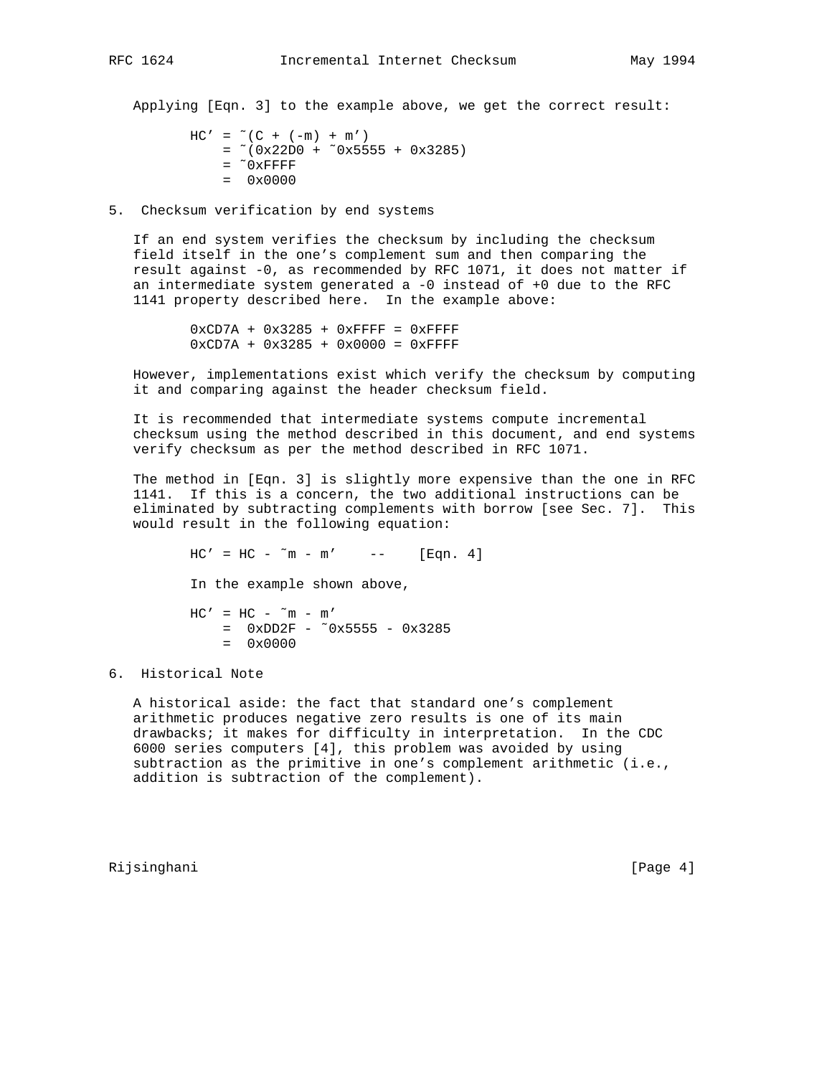Applying [Eqn. 3] to the example above, we get the correct result:

```
HC' = \tilde{C} (C + (-m) + m')= *(0x22D0 + 0x5555 + 0x3285)= ^{\sim} 0xFFFF
= 0 \times 0000
```
5. Checksum verification by end systems

 If an end system verifies the checksum by including the checksum field itself in the one's complement sum and then comparing the result against -0, as recommended by RFC 1071, it does not matter if an intermediate system generated a -0 instead of +0 due to the RFC 1141 property described here. In the example above:

> $0xCD7A + 0x3285 + 0xFFFF = 0xFFFF$ 0xCD7A + 0x3285 + 0x0000 = 0xFFFF

 However, implementations exist which verify the checksum by computing it and comparing against the header checksum field.

 It is recommended that intermediate systems compute incremental checksum using the method described in this document, and end systems verify checksum as per the method described in RFC 1071.

 The method in [Eqn. 3] is slightly more expensive than the one in RFC 1141. If this is a concern, the two additional instructions can be eliminated by subtracting complements with borrow [see Sec. 7]. This would result in the following equation:

 $HC' = HC - \tilde{m} - m'$  -- [Eqn. 4] In the example shown above,  $HC' = HC - \tilde{m} - m'$  $=$  0xDD2F -  $\degree$ 0x5555 - 0x3285  $= 0x0000$ 

# 6. Historical Note

 A historical aside: the fact that standard one's complement arithmetic produces negative zero results is one of its main drawbacks; it makes for difficulty in interpretation. In the CDC 6000 series computers [4], this problem was avoided by using subtraction as the primitive in one's complement arithmetic (i.e., addition is subtraction of the complement).

Rijsinghani [Page 4]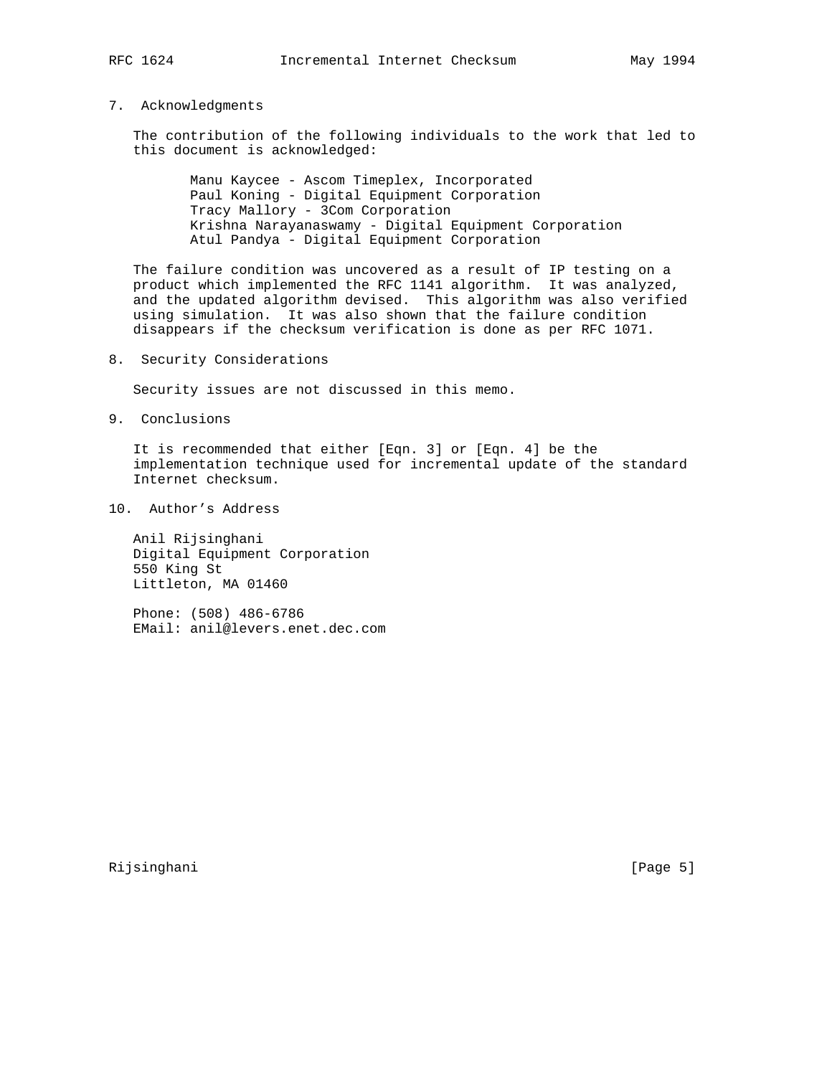### 7. Acknowledgments

 The contribution of the following individuals to the work that led to this document is acknowledged:

> Manu Kaycee - Ascom Timeplex, Incorporated Paul Koning - Digital Equipment Corporation Tracy Mallory - 3Com Corporation Krishna Narayanaswamy - Digital Equipment Corporation Atul Pandya - Digital Equipment Corporation

 The failure condition was uncovered as a result of IP testing on a product which implemented the RFC 1141 algorithm. It was analyzed, and the updated algorithm devised. This algorithm was also verified using simulation. It was also shown that the failure condition disappears if the checksum verification is done as per RFC 1071.

8. Security Considerations

Security issues are not discussed in this memo.

9. Conclusions

 It is recommended that either [Eqn. 3] or [Eqn. 4] be the implementation technique used for incremental update of the standard Internet checksum.

10. Author's Address

 Anil Rijsinghani Digital Equipment Corporation 550 King St Littleton, MA 01460

 Phone: (508) 486-6786 EMail: anil@levers.enet.dec.com

Rijsinghani [Page 5]